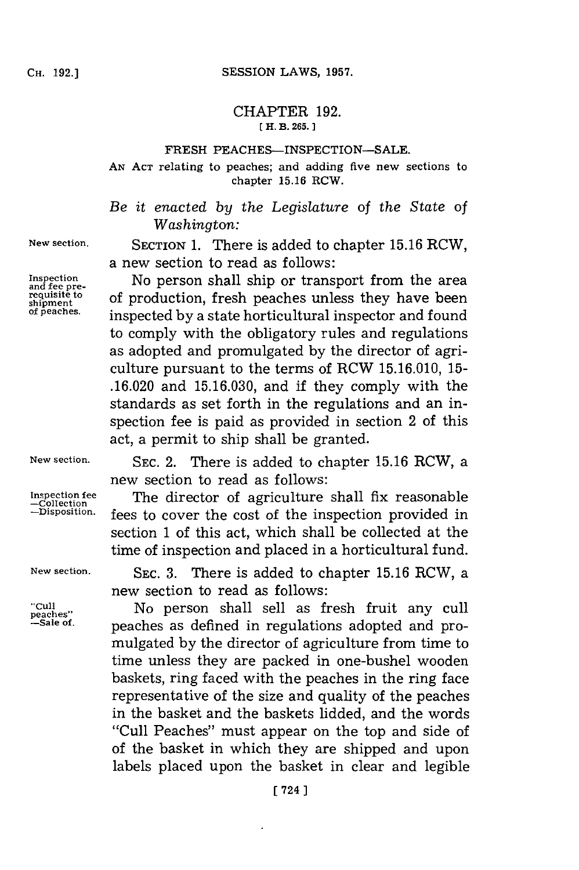## CHAPTER **192. [ H. B. 265.]1**

## FRESH PEACHES-INSPECTION-SALE.

**AN ACT** relating to peaches; and adding five new sections to chapter **15.16** RCW.

*Be it enacted by the Legislature of the State of Washington:*

**New section.** SECTION **1.** There is added to chapter **15.16** RCW, a new section to read as follows:

Inspection **Inspection** No person shall ship or transport from the area and requisite to of production fresh peaches unless they have been **requisite to** of production, fresh peaches unless they have been<br>of peaches. **increasing increases** increased by a state bentiaultural increator and found inspected by a state horticultural inspector and found to comply with the obligatory rules and regulations as adopted and promulgated **by** the director of agriculture pursuant to the terms of RCW **15.16.010, 15- .16.020** and **15.16.030,** and if they comply with the standards as set forth in the regulations and an inspection fee is paid as provided in section 2 of this act, a permit to ship shall be granted.

"Cull<br>peaches"<br>—Sale of

**New section. SEC.** 2. There is added to chapter **15.16** RCW, a new section to read as follows:

Inspection fee **The director of agriculture shall fix reasonable**  $\frac{-\text{Collection}}{\text{Probability}}$  fees to cover the cost of the inspection provided in fees to cover the cost of the inspection provided in section **1** of this act, which shall be collected at the time of inspection and placed in a horticultural fund.

**New section. SEC. 3.** There is added to chapter **15.16** RCW, a new section to read as follows:

> **peaches".** No person shall sell as fresh fruit any cull peaches as defined in regulations adopted and promulgated **by** the director of agriculture from time to time unless they are packed in one-bushel wooden baskets, ring faced with the peaches in the ring face representative of the size and quality of the peaches in the basket and the baskets lidded, and the words "Cull Peaches" must appear on the top and side of of the basket in which they are shipped and upon labels placed upon the basket in clear and legible